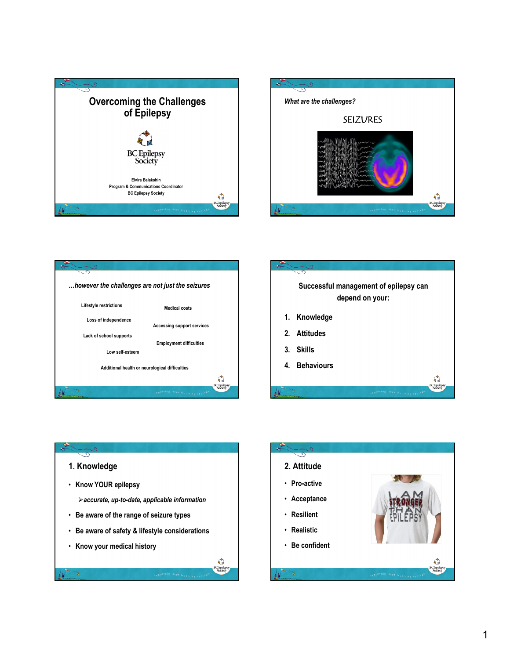